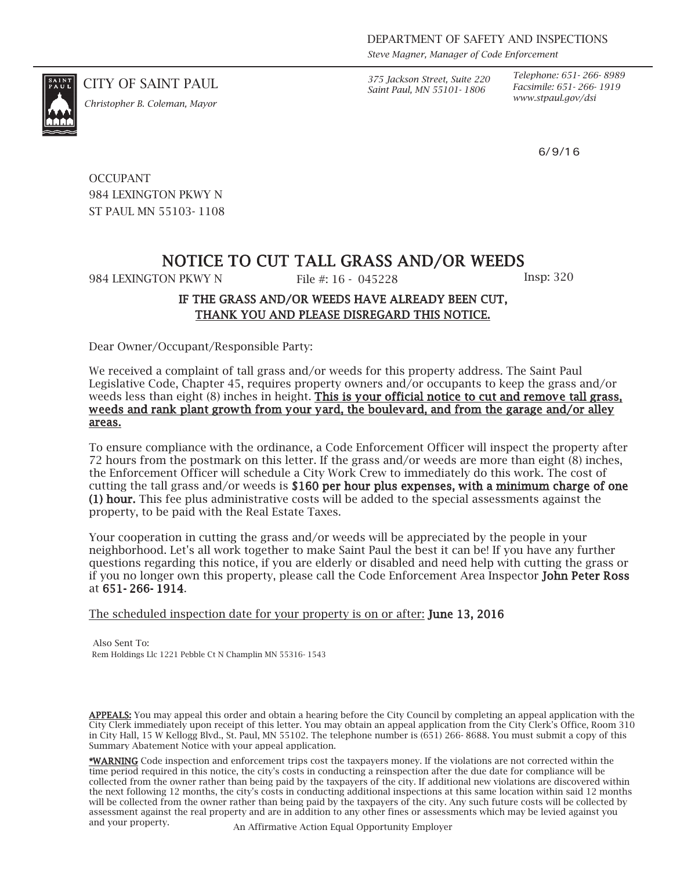*Steve Magner, Manager of Code Enforcement*

CITY OF SAINT PAUL *375 Jackson Street, Suite 220 Saint Paul, MN 55101- 1806*

*Telephone: 651- 266- 8989 Facsimile: 651- 266- 1919*

6/9/16



*www.stpaul.gov/dsi Christopher B. Coleman, Mayor*

**OCCUPANT** 984 LEXINGTON PKWY N ST PAUL MN 55103- 1108

## NOTICE TO CUT TALL GRASS AND/OR WEEDS

984 LEXINGTON PKWY N File #: 16 - 045228 Insp: 320

## IF THE GRASS AND/OR WEEDS HAVE ALREADY BEEN CUT, THANK YOU AND PLEASE DISREGARD THIS NOTICE.

Dear Owner/Occupant/Responsible Party:

We received a complaint of tall grass and/or weeds for this property address. The Saint Paul Legislative Code, Chapter 45, requires property owners and/or occupants to keep the grass and/or weeds less than eight (8) inches in height. This is your official notice to cut and remove tall grass, weeds and rank plant growth from your yard, the boulevard, and from the garage and/or alley areas.

To ensure compliance with the ordinance, a Code Enforcement Officer will inspect the property after 72 hours from the postmark on this letter. If the grass and/or weeds are more than eight (8) inches, the Enforcement Officer will schedule a City Work Crew to immediately do this work. The cost of cutting the tall grass and/or weeds is \$160 per hour plus expenses, with a minimum charge of one (1) hour. This fee plus administrative costs will be added to the special assessments against the property, to be paid with the Real Estate Taxes.

Your cooperation in cutting the grass and/or weeds will be appreciated by the people in your neighborhood. Let's all work together to make Saint Paul the best it can be! If you have any further questions regarding this notice, if you are elderly or disabled and need help with cutting the grass or if you no longer own this property, please call the Code Enforcement Area Inspector John Peter Ross at 651- 266- 1914.

The scheduled inspection date for your property is on or after: **June 13, 2016** 

Also Sent To: Rem Holdings Llc 1221 Pebble Ct N Champlin MN 55316- 1543

APPEALS: You may appeal this order and obtain a hearing before the City Council by completing an appeal application with the City Clerk immediately upon receipt of this letter. You may obtain an appeal application from the City Clerk's Office, Room 310 in City Hall, 15 W Kellogg Blvd., St. Paul, MN 55102. The telephone number is (651) 266- 8688. You must submit a copy of this Summary Abatement Notice with your appeal application.

\*WARNING Code inspection and enforcement trips cost the taxpayers money. If the violations are not corrected within the time period required in this notice, the city's costs in conducting a reinspection after the due date for compliance will be collected from the owner rather than being paid by the taxpayers of the city. If additional new violations are discovered within the next following 12 months, the city's costs in conducting additional inspections at this same location within said 12 months will be collected from the owner rather than being paid by the taxpayers of the city. Any such future costs will be collected by assessment against the real property and are in addition to any other fines or assessments which may be levied against you and your property. An Affirmative Action Equal Opportunity Employer